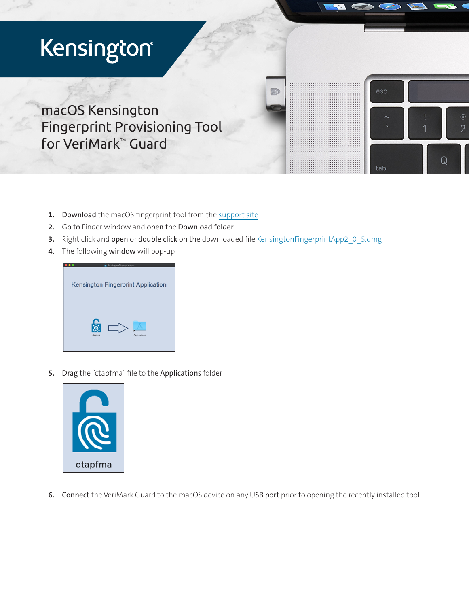## Kensington®

macOS Kensington Fingerprint Provisioning Tool for VeriMark™ Guard

- 1. Download the macOS fingerprint tool from the [support site](https://www.kensington.com/software/verimark-setup/verimark-guard-setup-guide/)
- 2. Go to Finder window and open the Download folder
- 3. Right click and open or double click on the downloaded file [KensingtonFingerprintApp2\\_0\\_5.dmg](https://www.kensington.com/software/verimark-setup/verimark-guard-setup-guide/)

**FD** 

esc

tab

 $\circleda$  $\overline{2}$ 

4. The following window will pop-up



5. Drag the "ctapfma" file to the Applications folder



6. Connect the VeriMark Guard to the macOS device on any USB port prior to opening the recently installed tool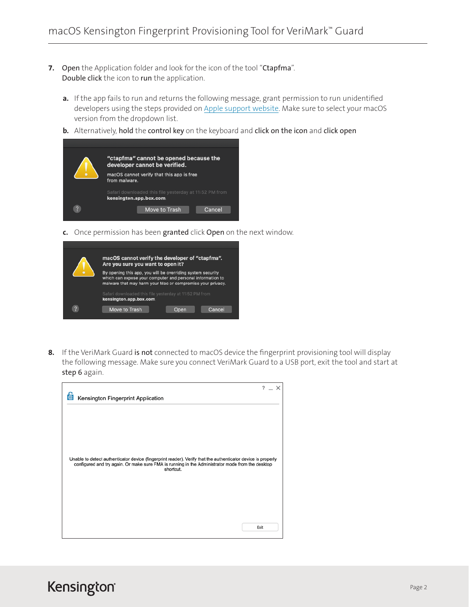- 7. Open the Application folder and look for the icon of the tool "Ctapfma". Double click the icon to run the application.
	- a. If the app fails to run and returns the following message, grant permission to run unidentified developers using the steps provided on [Apple support website.](https://support.apple.com/guide/mac-help/open-a-mac-app-from-an-unidentified-developer-mh40616/11.0/mac/11.0) Make sure to select your macOS version from the dropdown list.
	- b. Alternatively, hold the control key on the keyboard and click on the icon and click open



c. Once permission has been granted click Open on the next window.

|                         | macOS cannot verify the developer of "ctapfma".<br>Are you sure you want to open it?                                                                                                    |
|-------------------------|-----------------------------------------------------------------------------------------------------------------------------------------------------------------------------------------|
|                         | By opening this app, you will be overriding system security<br>which can expose your computer and personal information to<br>malware that may harm your Mac or compromise your privacy. |
| $\overline{\mathbf{z}}$ | Safari downloaded this file yesterday at 11:52 PM from<br>kensington.app.box.com                                                                                                        |
|                         | Move to Trash<br>Cancel<br><b>Open</b>                                                                                                                                                  |

8. If the VeriMark Guard is not connected to macOS device the fingerprint provisioning tool will display the following message. Make sure you connect VeriMark Guard to a USB port, exit the tool and start at step 6 again.

| Kensington Fingerprint Application                                                                                                                                                                                            | $\mathcal{P}$ | $\mathbb{R}^n$ |
|-------------------------------------------------------------------------------------------------------------------------------------------------------------------------------------------------------------------------------|---------------|----------------|
|                                                                                                                                                                                                                               |               |                |
|                                                                                                                                                                                                                               |               |                |
| Unable to detect authenticator device (fingerprint reader). Verify that the authenticator device is properly<br>configured and try again. Or make sure FMA is running in the Administrator mode from the desktop<br>shortcut. |               |                |
|                                                                                                                                                                                                                               |               |                |
|                                                                                                                                                                                                                               |               |                |
|                                                                                                                                                                                                                               | Exit          |                |

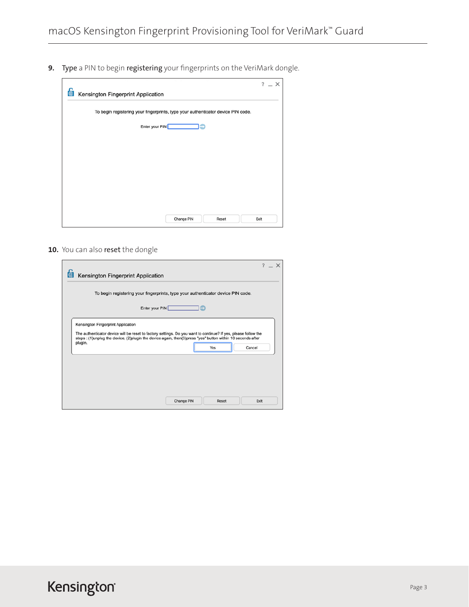9. Type a PIN to begin registering your fingerprints on the VeriMark dongle.

| To begin registering your fingerprints, type your authenticator device PIN code. |  |                |  |  |  |
|----------------------------------------------------------------------------------|--|----------------|--|--|--|
|                                                                                  |  | Enter your PIN |  |  |  |
|                                                                                  |  |                |  |  |  |
|                                                                                  |  |                |  |  |  |
|                                                                                  |  |                |  |  |  |
|                                                                                  |  |                |  |  |  |
|                                                                                  |  |                |  |  |  |
|                                                                                  |  |                |  |  |  |
|                                                                                  |  |                |  |  |  |
|                                                                                  |  |                |  |  |  |
|                                                                                  |  |                |  |  |  |

10. You can also reset the dongle

|                                    | $? - X$                                                                                                        |
|------------------------------------|----------------------------------------------------------------------------------------------------------------|
| Kensington Fingerprint Application |                                                                                                                |
|                                    | To begin registering your fingerprints, type your authenticator device PIN code.                               |
|                                    |                                                                                                                |
|                                    | Enter your PIN                                                                                                 |
|                                    |                                                                                                                |
| Kensington Fingerprint Application |                                                                                                                |
|                                    | The authenticator device will be reset to factory settings. Do you want to continue? If yes, please follow the |
|                                    | steps: (1)unplug the device, (2)plugin the device again, then(3)press "yes" button within 10 seconds after     |
| plugin.                            | Yes<br>Cancel                                                                                                  |
|                                    |                                                                                                                |
|                                    |                                                                                                                |
|                                    |                                                                                                                |
|                                    |                                                                                                                |
|                                    |                                                                                                                |
|                                    |                                                                                                                |
|                                    |                                                                                                                |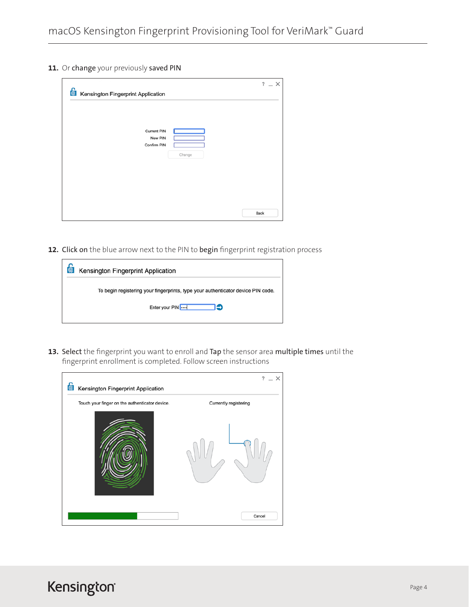11. Or change your previously saved PIN

| Kensington Fingerprint Application              | $? - X$ |
|-------------------------------------------------|---------|
| Current PIN<br>New PIN<br>Confirm PIN<br>Change | Back    |

12. Click on the blue arrow next to the PIN to begin fingerprint registration process

| $\bigcirc$<br>Kensington Fingerprint Application                                 |
|----------------------------------------------------------------------------------|
| To begin registering your fingerprints, type your authenticator device PIN code. |
| Enter your PIN<br>פר                                                             |
|                                                                                  |

13. Select the fingerprint you want to enroll and Tap the sensor area multiple times until the fingerprint enrollment is completed. Follow screen instructions